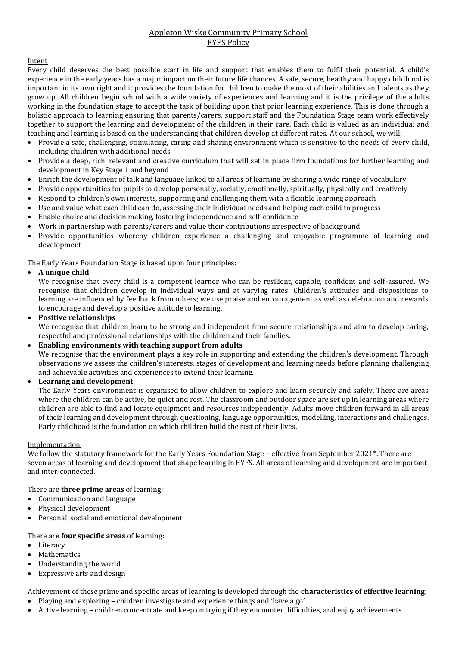## Appleton Wiske Community Primary School EYFS Policy

### Intent

Every child deserves the best possible start in life and support that enables them to fulfil their potential. A child's experience in the early years has a major impact on their future life chances. A safe, secure, healthy and happy childhood is important in its own right and it provides the foundation for children to make the most of their abilities and talents as they grow up. All children begin school with a wide variety of experiences and learning and it is the privilege of the adults working in the foundation stage to accept the task of building upon that prior learning experience. This is done through a holistic approach to learning ensuring that parents/carers, support staff and the Foundation Stage team work effectively together to support the learning and development of the children in their care. Each child is valued as an individual and teaching and learning is based on the understanding that children develop at different rates. At our school, we will:

- Provide a safe, challenging, stimulating, caring and sharing environment which is sensitive to the needs of every child, including children with additional needs
- Provide a deep, rich, relevant and creative curriculum that will set in place firm foundations for further learning and development in Key Stage 1 and beyond
- Enrich the development of talk and language linked to all areas of learning by sharing a wide range of vocabulary
- Provide opportunities for pupils to develop personally, socially, emotionally, spiritually, physically and creatively
- Respond to children's own interests, supporting and challenging them with a flexible learning approach
- Use and value what each child can do, assessing their individual needs and helping each child to progress
- Enable choice and decision making, fostering independence and self-confidence
- Work in partnership with parents/carers and value their contributions irrespective of background
- Provide opportunities whereby children experience a challenging and enjoyable programme of learning and development

The Early Years Foundation Stage is based upon four principles:

### **A unique child**

We recognise that every child is a competent learner who can be resilient, capable, confident and self-assured. We recognise that children develop in individual ways and at varying rates. Children's attitudes and dispositions to learning are influenced by feedback from others; we use praise and encouragement as well as celebration and rewards to encourage and develop a positive attitude to learning.

### **Positive relationships**

We recognise that children learn to be strong and independent from secure relationships and aim to develop caring, respectful and professional relationships with the children and their families.

### **Enabling environments with teaching support from adults**

We recognise that the environment plays a key role in supporting and extending the children's development. Through observations we assess the children's interests, stages of development and learning needs before planning challenging and achievable activities and experiences to extend their learning.

### **Learning and development**

The Early Years environment is organised to allow children to explore and learn securely and safely. There are areas where the children can be active, be quiet and rest. The classroom and outdoor space are set up in learning areas where children are able to find and locate equipment and resources independently. Adults move children forward in all areas of their learning and development through questioning, language opportunities, modelling, interactions and challenges. Early childhood is the foundation on which children build the rest of their lives.

### Implementation

We follow the statutory framework for the Early Years Foundation Stage – effective from September 2021\*. There are seven areas of learning and development that shape learning in EYFS. All areas of learning and development are important and inter-connected.

### There are **three prime areas** of learning:

- Communication and language
- Physical development
- Personal, social and emotional development

### There are **four specific areas** of learning:

- Literacy
- Mathematics
- Understanding the world
- Expressive arts and design

#### Achievement of these prime and specific areas of learning is developed through the **characteristics of effective learning**: Playing and exploring – children investigate and experience things and 'have a go'

Active learning – children concentrate and keep on trying if they encounter difficulties, and enjoy achievements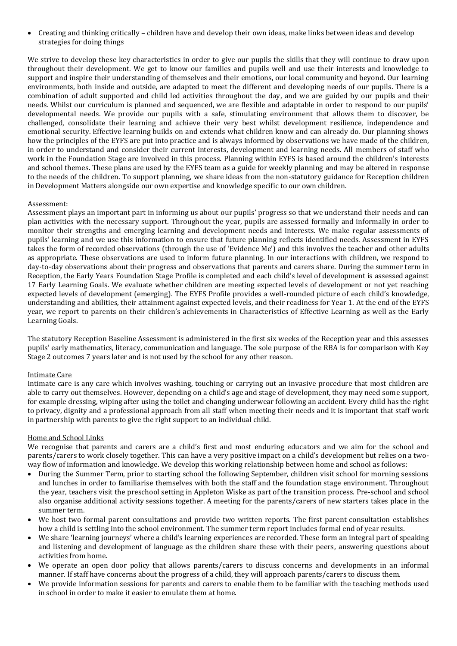Creating and thinking critically – children have and develop their own ideas, make links between ideas and develop strategies for doing things

We strive to develop these key characteristics in order to give our pupils the skills that they will continue to draw upon throughout their development. We get to know our families and pupils well and use their interests and knowledge to support and inspire their understanding of themselves and their emotions, our local community and beyond. Our learning environments, both inside and outside, are adapted to meet the different and developing needs of our pupils. There is a combination of adult supported and child led activities throughout the day, and we are guided by our pupils and their needs. Whilst our curriculum is planned and sequenced, we are flexible and adaptable in order to respond to our pupils' developmental needs. We provide our pupils with a safe, stimulating environment that allows them to discover, be challenged, consolidate their learning and achieve their very best whilst development resilience, independence and emotional security. Effective learning builds on and extends what children know and can already do. Our planning shows how the principles of the EYFS are put into practice and is always informed by observations we have made of the children, in order to understand and consider their current interests, development and learning needs. All members of staff who work in the Foundation Stage are involved in this process. Planning within EYFS is based around the children's interests and school themes. These plans are used by the EYFS team as a guide for weekly planning and may be altered in response to the needs of the children. To support planning, we share ideas from the non-statutory guidance for Reception children in Development Matters alongside our own expertise and knowledge specific to our own children.

### Assessment:

Assessment plays an important part in informing us about our pupils' progress so that we understand their needs and can plan activities with the necessary support. Throughout the year, pupils are assessed formally and informally in order to monitor their strengths and emerging learning and development needs and interests. We make regular assessments of pupils' learning and we use this information to ensure that future planning reflects identified needs. Assessment in EYFS takes the form of recorded observations (through the use of 'Evidence Me') and this involves the teacher and other adults as appropriate. These observations are used to inform future planning. In our interactions with children, we respond to day-to-day observations about their progress and observations that parents and carers share. During the summer term in Reception, the Early Years Foundation Stage Profile is completed and each child's level of development is assessed against 17 Early Learning Goals. We evaluate whether children are meeting expected levels of development or not yet reaching expected levels of development (emerging). The EYFS Profile provides a well-rounded picture of each child's knowledge, understanding and abilities, their attainment against expected levels, and their readiness for Year 1. At the end of the EYFS year, we report to parents on their children's achievements in Characteristics of Effective Learning as well as the Early Learning Goals.

The statutory Reception Baseline Assessment is administered in the first six weeks of the Reception year and this assesses pupils' early mathematics, literacy, communication and language. The sole purpose of the RBA is for comparison with Key Stage 2 outcomes 7 years later and is not used by the school for any other reason.

### Intimate Care

Intimate care is any care which involves washing, touching or carrying out an invasive procedure that most children are able to carry out themselves. However, depending on a child's age and stage of development, they may need some support, for example dressing, wiping after using the toilet and changing underwear following an accident. Every child has the right to privacy, dignity and a professional approach from all staff when meeting their needs and it is important that staff work in partnership with parents to give the right support to an individual child.

### Home and School Links

We recognise that parents and carers are a child's first and most enduring educators and we aim for the school and parents/carers to work closely together. This can have a very positive impact on a child's development but relies on a twoway flow of information and knowledge. We develop this working relationship between home and school as follows:

- During the Summer Term, prior to starting school the following September, children visit school for morning sessions and lunches in order to familiarise themselves with both the staff and the foundation stage environment. Throughout the year, teachers visit the preschool setting in Appleton Wiske as part of the transition process. Pre-school and school also organise additional activity sessions together. A meeting for the parents/carers of new starters takes place in the summer term.
- We host two formal parent consultations and provide two written reports. The first parent consultation establishes how a child is settling into the school environment. The summer term report includes formal end of year results.
- We share 'learning journeys' where a child's learning experiences are recorded. These form an integral part of speaking and listening and development of language as the children share these with their peers, answering questions about activities from home.
- We operate an open door policy that allows parents/carers to discuss concerns and developments in an informal manner. If staff have concerns about the progress of a child, they will approach parents/carers to discuss them.
- We provide information sessions for parents and carers to enable them to be familiar with the teaching methods used in school in order to make it easier to emulate them at home.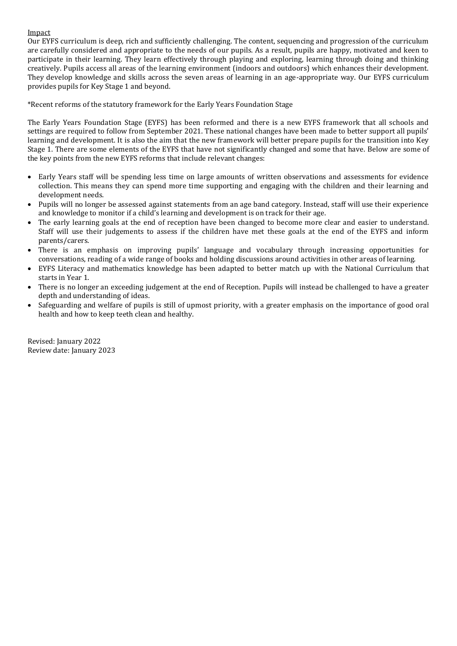### Impact

Our EYFS curriculum is deep, rich and sufficiently challenging. The content, sequencing and progression of the curriculum are carefully considered and appropriate to the needs of our pupils. As a result, pupils are happy, motivated and keen to participate in their learning. They learn effectively through playing and exploring, learning through doing and thinking creatively. Pupils access all areas of the learning environment (indoors and outdoors) which enhances their development. They develop knowledge and skills across the seven areas of learning in an age-appropriate way. Our EYFS curriculum provides pupils for Key Stage 1 and beyond.

\*Recent reforms of the statutory framework for the Early Years Foundation Stage

The Early Years Foundation Stage (EYFS) has been reformed and there is a new EYFS framework that all schools and settings are required to follow from September 2021. These national changes have been made to better support all pupils' learning and development. It is also the aim that the new framework will better prepare pupils for the transition into Key Stage 1. There are some elements of the EYFS that have not significantly changed and some that have. Below are some of the key points from the new EYFS reforms that include relevant changes:

- Early Years staff will be spending less time on large amounts of written observations and assessments for evidence collection. This means they can spend more time supporting and engaging with the children and their learning and development needs.
- Pupils will no longer be assessed against statements from an age band category. Instead, staff will use their experience and knowledge to monitor if a child's learning and development is on track for their age.
- The early learning goals at the end of reception have been changed to become more clear and easier to understand. Staff will use their judgements to assess if the children have met these goals at the end of the EYFS and inform parents/carers.
- There is an emphasis on improving pupils' language and vocabulary through increasing opportunities for conversations, reading of a wide range of books and holding discussions around activities in other areas of learning.
- EYFS Literacy and mathematics knowledge has been adapted to better match up with the National Curriculum that starts in Year 1.
- There is no longer an exceeding judgement at the end of Reception. Pupils will instead be challenged to have a greater depth and understanding of ideas.
- Safeguarding and welfare of pupils is still of upmost priority, with a greater emphasis on the importance of good oral health and how to keep teeth clean and healthy.

Revised: January 2022 Review date: January 2023